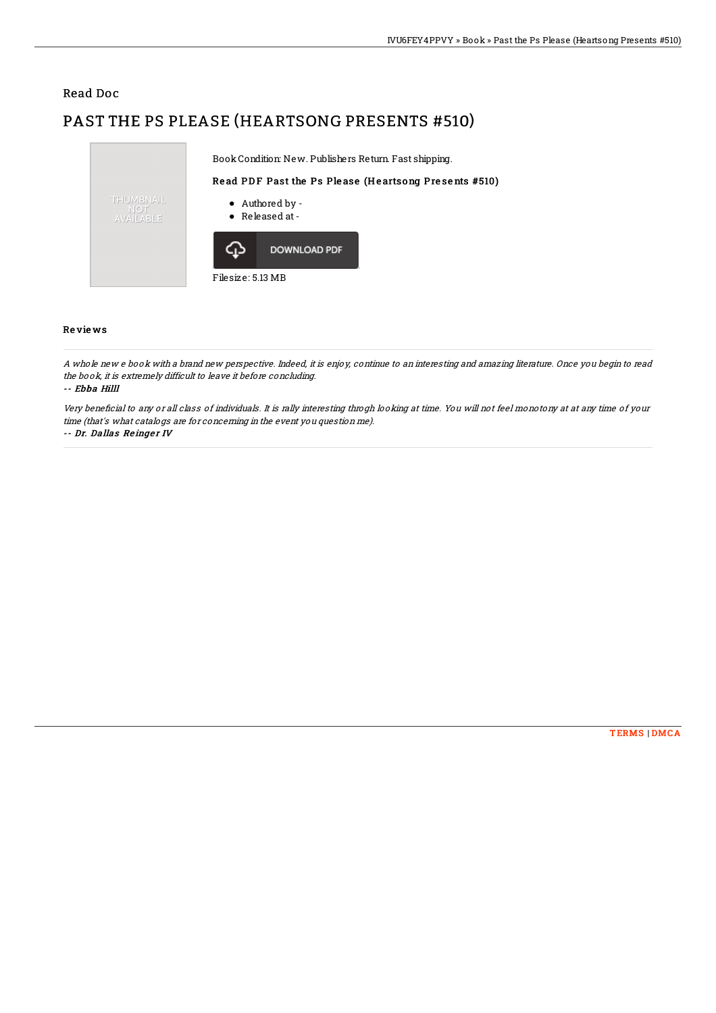## Read Doc

# PAST THE PS PLEASE (HEARTSONG PRESENTS #510)



### Re vie ws

A whole new <sup>e</sup> book with <sup>a</sup> brand new perspective. Indeed, it is enjoy, continue to an interesting and amazing literature. Once you begin to read the book, it is extremely difficult to leave it before concluding.

#### -- Ebba Hilll

Very beneficial to any or all class of individuals. It is rally interesting throgh looking at time. You will not feel monotony at at any time of your time (that's what catalogs are for concerning in the event you question me).

-- Dr. Dallas Reinger IV